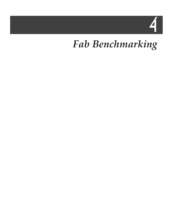# 4

### *Fab Benchmarking*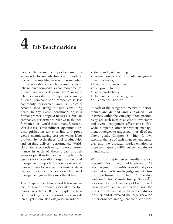## **4 Fab Benchmarking**

Fab benchmarking is a practice used by semiconductor manufacturers worldwide to assess the competitiveness of their manufacturing operations. Benchmarking between fabs within a company is a common practice, as manufacturers today can have 20 or more fab lines worldwide. Comparisons among different semiconductor companies is less commonly performed and is typically accomplished using outside consulting firms. In any event, benchmarking is a formal practice designed to assess a fab's or company's performance relative to the performance of world-class manufacturers. World-class semiconductor operations are distinguished in terms of line and probe yields, manufacturing cost per wafer, labor productivity, cycle times, tool productivity, and on-time delivery performance. Worldclass fabs also consistently improve performance in each of these areas through superior practices in manufacturing technology, factory operation, organization, and management. Importantly, a world-class fab does not have to be a manufacturer of stateof-the-art devices: It achieves excellent asset management given the assets that it has.

This Chapter first defines world-class manufacturing and presents associated performance objectives. It then explains how benchmarking measures consist of several different, yet interrelated categories including:

- Yields and yield learning
- Process control and Computer integrated manufacturing
- Cycle time management
- Tool productivity
- Labor productivity
- Human resources management
- Customer satisfaction

In each of the categories, metrics of performance are defined and explained. For instance, within the category of tool productivity are such metrics as cost of ownership and overall equipment effectiveness. Fabwide, companies often use various management strategies to target many or all of the above goals. Chapter 5 which follows explores the use of such management strategies and the practical implementation of these techniques by different semiconductor manufacturers.

Within this chapter, select results are also presented from a worldwide survey of 28 fabs designed to identify operational practices that underlie leading-edge manufacturing performance. The Competitive Semiconductor Manufacturing Survey<sup>[1]</sup>, performed by the University of California at Berkeley over a five-year period, was the first study of its kind in the semiconductor industry and it revealed the large variation in performance among semiconductor fabs.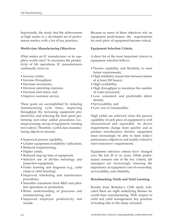Importantly, the study tied the achievement of high marks in a developed set of performance metrics with a list of key practices.

#### **World-class Manufacturing Objectives**

What makes an IC manufacturer or its suppliers world class? To maximize the productivity of fab operations, IC manufacturers continually strive to:

- Increase yields,
- Increase throughput,
- Decrease inventories,
- Decrease operating expenses,
- Decrease lead times, and
- Improve customer service.

These goals are accomplished by reducing manufacturing cycle times, improving throughput (by increasing equipment productivity), and reducing the time spent performing non-value added procedures (i.e., misprocessing, set-up of equipment, running test wafers). Therefore, world-class manufacturing objectives become:

- Improved process capability,
- Greater equipment availability/utilization,
- Reduced misprocessing,
- Higher yields,
- Reduced step-up time of equipment,
- Selective use of off-line metrology and inspection equipment,
- Faster learning and diagnosis (e.g., yield ramp or yield learning),
- Improved scheduling and maintenance procedures,
- Smoother transitions from R&D and pilotline operations to production,
- Better understanding of processes and manufacturing, and
- Improved employee productivity and morale.

Because so many of these objectives rely on equipment performance, the requirements for each piece of equipment become critical.

#### **Equipment Selection Criteria**

A short list of the most important criteria in equipment selection follows.

- Process capability, and flexibility to meet future requirements,
- High reliability (mean time between failure of at least 200 hours),
- High availability,
- High throughput to maximize the number of wafer processed,
- Low, consistent, and predictable defect density,
- Serviceability, and
- Low cost of consumables.

High yields are achieved when the process capability of each piece of equipment is well characterized and repeatable. As device requirements change more quickly and as product introductions shorten, equipment must increasingly be able to meet today's performance objectives and readily extend to meet tomorrow's requirements.

Equipment selection criteria have changed over the last 20 or so years. While performance remains one of the key criteria, fab managers are increasingly stressing the importance of equipment cost-of-ownership, serviceability, and reliability.

#### **Benchmarking Yields and Yield Learning**

Results from Berkeley's CSM study indicated there are eight underlying themes for world-class manufacturing. With respect to yield and yield management, key practices of leading fabs in the study included: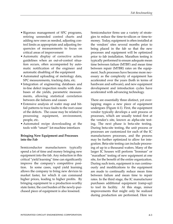- Rigorous management of SPC programs, retiring unneeded control charts and adding new ones as needed, adjusting control limits as appropriate and adjusting frequencies of measurements to focus on critical areas of improvement
- Automatic display of corrective action guidelines when an out-of-control situation occurs, often accompanied by automatic notification of the engineer and automatic disabling of the equipment
- Automated uploading of metrology data, SPC measurements, tracking data, etc.
- Integration of engineering databases and in-line defect inspection results with databases of die yields, parametric measurements, allowing statistical correlation between die failures and causes
- Extensive analysis of wafer map and bitfail patterns to trace faults to the root cause of the defects. The cause may be related to processing equipment, environment, people, etc.
- Automated recipe downloading at the tools with "smart" lot-machine interfaces

#### **Bringing New Equipment and Processes into the Fab**

Semiconductor manufacturers typically spend a lot of time and money bringing new equipment into the fab. Any reduction in this critical "yield learning" time can significantly improve the company's competitive position. In some cases, rapid yield learning allows the company to bring new devices to market faster, for which it can command higher prices, leading to higher profits. By bringing equipment to a production-worthy state faster, the cost burden of the newly-purchased piece of equipment is also lessened.

Semiconductor firms use a variety of strategies to reduce the time-to-silicon or time-tomoney. Today, equipment is often installed at the vendors' sites several months prior to being placed in the fab so that the new processes and equipment will be optimized prior to fab installation. Marathon testing is typically performed to ensure adequate mean time between failure (MTBF) and mean time between repair (MTBR) rates on the equipment. Such processes have become more necessary as the complexity of equipment has accelerated over the years (both in terms of hardware and software), and new equipment development and introduction cycles have accelerated with advancing technology.

There are essentially three distinct, yet overlapping stages a new piece of equipment undergoes (Figure 4-1). First, the equipment vendor typically develops a unit process or processes, which are usually tested first at the vendor's site, known as alpha-site testing. The next phase is beta-site testing. During beta-site testing, the unit process or processes are customized for each of the IC manufacturers processes, and the process may be further optimized to allow for integration. Beta-site testing can include processing of up to a thousand wafers. Many of the larger IC houses will perform "Ironman" or "marathon" testing of new equipment at one site, for the benefit of the entire organization. During such tests, equipment is run continuously and modifications to the equipment are made to continually reduce mean time between failure and mean time to repair rates. In the third stage, the IC manufacturer purchases additional equipment (ramp-up) to tool its facility. At this stage, minor improvements that might only be realized during production are performed. Here we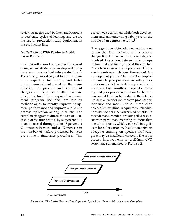review strategies used by Intel and Motorola to accelerate cycles of learning and ensure the use of production-ready equipment in the production line.

#### **Intel's Partners With Vendor to Enable Faster Ramp-up**

Intel recently used a partnership-based management strategy to develop and transfer a new process tool into production.[2] The strategy was designed to ensure minimum impact to fab output, and faster return-on-investment based on the minimization of process and equipment changes once the tool is installed in a manufacturing line. The equipment improvement program included proliferation methodologies to rapidly improve equipment performance and improve site-to-site process replication among Intel fabs. The complete program reduced the cost of ownership of the unit process by 60 percent due to an increased throughput of 18 percent, a 2X defect reduction, and a 4X increase in the number of wafers processed between preventive maintenance procedures. This

project was performed while both development and manufacturing fabs were in the middle of an aggressive ramp.<sup>[2]</sup>

The upgrade consisted of nine modifications to the chamber hardware and a process change. It took nine months to complete, and involved interaction between five groups within Intel and four groups at the supplier. The article stresses the importance of close vendor-customer relations throughout the development phases. The project attempted to eliminate past problems, including poor parts' quality, delays in delivery, insufficient documentation, insufficient operator training, and poor process replication. Such problems are at least partially due to the intense pressure on vendors to improve product performance and meet product introduction dates, often resulting in equipment introductions that do not meet advertised benefits. To meet demand, vendors are compelled to subcontract parts manufacturing to more than one subcontractor, which can result in significant lot-to-lot variation. In addition, without adequate training on specific hardware, parts may be installed incorrectly. The set of process improvements on a 200mm CVD system are summarized in Figure 4-2.



*Figure 4-1. The Entire Process Development Cycle Takes Two or More Years to Complete*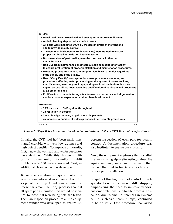

*Figure 4-2. Steps Taken to Improve the Manufacturability of a 200mm CVD Tool and Benefits Gained*

Initially, the CVD tool had been fairly nonmanufacturable, with very low uptimes and high defect densities. To improve uniformity, first, a new showerhead and wafer susceptor were designed. While this change significantly improved uniformity, uniformity drift problems after 150 wafers persisted. Next, an additional clean recipe was developed.

To reduce variation in spare parts, the vendor was informed in advance about the scope of the project and was required to freeze parts manufacturing processes so that all spare parts manufactured would be identical to those that were being beta-site tested. Then, an inspection procedure at the equipment vendor was developed to ensure 100 percent inspection of each part for quality control. A documentation procedure was also instituted to ensure parts quality.

Next, the equipment engineers that installed the parts during alpha site testing trained the equipment engineers, and this team then trained the Intel technicians at each site in proper part installation.

In spite of this high level of control, out-ofspecification parts were still shipped, emphasizing the need to improve vendorcustomer relations. Site-to-site process replication, due to small differences in systems set-up (such as different pumps), continued to be an issue. One procedure that aided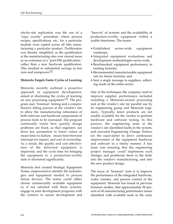site-by-site replication was the use of a "copy exactly" procedure, where process recipes, specifications, etc., for a particular module were copied across all fabs manufacturing a particular product. Proliferation was thereby simplified, as the qualification at the manufacturing sites was viewed more as an extension of a "post-PM qualification," rather than a new hardware qualification. This resulted in substantial savings in test runs and manpower. [2]

#### **Motorola Targets Faster Cycles of Learning**

Motorola recently outlined a proactive approach to equipment development, aimed at shortening the cycles of learning on new processing equipment.[3] The program uses "Ironman" testing and a comprehensive debug process at the vendor's site to allow the manufacturing robustness of both software and hardware components of process tools to be increased. The program continually tracks how quickly design problems are fixed, so that engineers can drive key parameters to lower values of mean-time-to-failure, mean-time-between interrupt (or repair), and cost of ownership. As a result, the quality and cost effectiveness of the delivered equipment is improved, and the cycle time for bringing the equipment to a production-worthy state is shortened significantly.

Motorola first created Strategic Equipment Teams, empowered to identify the technologies and equipment needed to process future devices. The teams could either choose commercially available equipment or, if not satisfied with these systems, engage in joint development programs with the vendors to assure development and

"burn-in" of systems and the availability of production-worthy equipment within a usable timeframe. The teams:

- Established sector-wide equipment roadmaps,
- Integrated equipment evaluations and development methodologies sector-wide,
- Benchmarked equipment performance in existing factories,
- Recommended manufacturable equipment sets for future factories, and
- Sent a single message to suppliers, reflecting needs of the entire sector.

One of the techniques the company used to improve supplier performance included installing a Motorola-owned processing tool at the vendor's site for parallel use by its engineering group and Motorola engineers. Typically, latest products are not readily available for the vendor to perform hardware and software testing. In this process, the engineering team at the vendor's site identified faults in the system, and executed Engineering Change Notices (or the equivalent) to drive continuous improvement of the equipment hardware and software in a timely manner. A key issue was ensuring that the engineering project manager could implement such changes and proliferate them in the field, into the vendor's manufacturing, and into the new product design.

The focus of "Ironman" tests is to improve the performance of the integrated hardware, wafer transfer, and process control of the equipment. Motorola has found in previous Ironman studies, that approximately 90 percent of all manufacturing performance issues identified with available tools in the early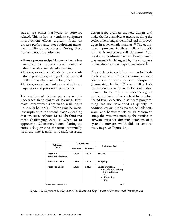stages are either hardware or software related. This is key as vendor's equipment improvement efforts typically focus on process performance, not equipment manufacturability or robustness. During these Ironman test, the equipment:

- Runs a process recipe 24 hours a day unless required for process development or design evaluation related activities,
- Undergoes routine PM , start-up, and shutdown procedures, testing all hardware and software capability of the tool, and
- Undergoes system hardware and software upgrades and process enhancements.

The equipment debug phase generally undergoes three stages of learning. First, major improvements are made, resulting in up to 5-20 hour MTBI (mean-time-betweeninterrupt), with the second stage extending that level to 20-60 hours MTBI. The third and most challenging cycle is when MTBI approaches 120 or more hours. During the entire debug process, the teams continually track the time it takes to identify an issue,

design a fix, evaluate the new design, and make the fix available. A metric tracking the cycles of learning is identified and improved upon in a systematic manner.<sup>[5]</sup> The equipment improvement at the supplier site is critical, as it represents full departure from previous procedures in which the equipment was essentially debugged by the customers in the fabs in a non-competitive fashion.<sup>[5]</sup>

The article points out how process tool testing has evolved with the increasing software component in semiconductor equipment (Figure 4-3). In the 1970s and 1980s, tests focused on mechanical and electrical performance. Today, while understanding of mechanical failures has evolved to a sophisticated level, expertise in software programming has not developed as quickly. In addition, certain problems can be both software- and hardware-related. In Motorola's study, this was evidenced by the number of software fixes for different iterations of a system's software, which did not continuously improve (Figure 4-4).

| <b>Reliability</b>                      | <b>Time Period</b> |                   |                                                                                                                |  |
|-----------------------------------------|--------------------|-------------------|----------------------------------------------------------------------------------------------------------------|--|
| Level                                   | <b>Hardware</b>    | <b>Software</b>   | <b>Statistical Test</b>                                                                                        |  |
| Percent or<br><b>Parts Per Thousand</b> | 1970s              | 1990s             | <b>Test all</b>                                                                                                |  |
| <b>Parts Per Million</b>                | 1980s              | 2000s             | Sampling                                                                                                       |  |
| <b>Parts Per Billion</b>                | 1990s              | 2010 <sub>s</sub> | <b>Varied Statistical</b><br>- Accelerated testing<br>- Burn-in testing<br>– ESS<br>- Life testing<br>– (etc.) |  |
| Source: Motorola/IEEE/SEMI              |                    |                   | 19875                                                                                                          |  |

*Figure 4-3. Software development Has Become a Key Aspect of Process Tool Development*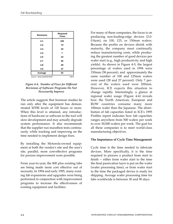| <b>Revisions</b>           | Required<br><b>Fixes</b> |  |
|----------------------------|--------------------------|--|
| 2.1                        | 105                      |  |
| 2.2                        | 73                       |  |
| 2.3                        | 24                       |  |
| 2.4                        | 7                        |  |
| 2.5                        | 23                       |  |
| 2.7                        | 45                       |  |
| 2.8                        | 29                       |  |
| 3.0                        | 27                       |  |
| Average                    | 42                       |  |
| Source: Motorola/IEEE/SEMI | 19876                    |  |

*Figure 4-4. Number of Fixes for Different Revisions of Software Programs Do Not Necessarily Improve*

The article suggests that Ironman studies be run only after the equipment has demonstrated MTBI levels of 120 hours or more. When this level is attained, any introductions of hardware or software to the tool will slow development and may actually degrade system performance. It also recommends that the supplier run marathon tests continuously, while tracking and improving on the time needed to implement design fixes.

By installing the Motorola-owned equipment at both the vendor's site and the user's site, parallel, more cost-effective programs for process improvement were possible.

From year-to-year, the 800 plus existing fabs are being made more cost effective out of necessity. In 1994 and early 1995, many existing fab expansions and upgrades were being performed in conjunction with improvement programs to increase the effectiveness of existing equipment and facilities.

For many of these companies, the focus is on producing non-leading-edge devices (2.0- 0.8 $\mu$ m), on 100, 125, or 150mm wafers. Because the profits on devices shrink with maturity, the company must continually reduce manufacturing costs, while producing the greatest number of good devices per wafer start (e.g., high productivity and high yields). As shown in Figure 4-5, the largest percentage of wafers used in 1994 were 150mm (38 percent), and approximately the same number of 100 and 125mm wafers were used (28 and 27 percent). Only 7 percent of the wafers used were 200mm. However, ICE expects this situation to change rapidly. Interestingly, a glance at regional wafer usage (Figure 4-6) reveals how the North American, European and ROW countries consume many more 100mm wafer than the Japanese. The distribution of fab capacities listed in ICE's 1995 Profiles report indicates how fab capacities ranges anywhere from 500 wafers per week to over 30,000 wafers per week. The goal for all these companies is to meet world-class manufacturing objectives.

#### **The Importance of Cycle Time Management**

Cycle time is the time needed to fabricate devices. More specifically, it is the time required to process a product from start to finish -- either from wafer start to the time the final passivation layer is put on the wafer (wafer processing time), or from wafer start to the time the packaged device is ready for shipping. Average wafer processing time for fabs worldwide is between 30 and 90 days.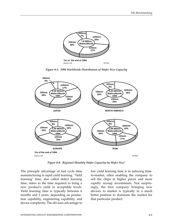





*Figure 4-6. Regional Monthly Wafer Capacity by Wafer Size\**

The principle advantage of fast cycle time manufacturing is rapid yield learning. "Yield learning" time, also called defect learning time, refers to the time required to bring a new product's yield to acceptable levels. Yield learning time is typically between 6 months and 2 years, depending on production capability, engineering capability, and device complexity. The obvious advantage to low yield learning time is in reducing timeto-market, often enabling the company to sell the chips at higher prices and more rapidly recoup investments. Not surprisingly, the first company bringing new devices to market is typically in a much better position to dominate the market for that particular product.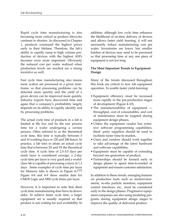Rapid cycle time manufacturing is also becoming more critical as product lifecycles continue to shorten. As discussed in Chapter 1, products command the highest prices early in their lifetime. Therefore, the fab's ability to rapidly ramp to high volume production of devices with the highest ASPs becomes even more important. Obviously the reduced cost per wafer realized when production levels are reached are a strong incentive as well.

Fast cycle time manufacturing also means more wafers are processed in a given timeframe, so that processing problems can be detected more quickly and the yield of a given device can be improved more quickly. Industry experts have discovered time and again that a company's profitability largely depends on its ability to rapidly identify and fix processing problems.

The actual cycle time of products in a fab is limited at the low end by the raw process time for a wafer undergoing a certain process. Often referred to as the theoretical cycle time, this time is typically between 5 and 10 working days or 120 and 240 hours. In practice, a fab tries to attain an actual cycle time that is between 2X and 3X the theoretical cycle time. A cycle time of 2.5-3.0 days per mask layer is considered average, a 2-day cycle time per layer is very good and a worldclass fab is capable of processing a layer in 1.2 days. Some examples of cycle time per layer for Memory fabs is shown in Figure 4-7.<sup>[1]</sup> Figure 4-8 and 4-9 show similar data for CMOS Logic and MSI cycle times per layer.

However, it is important to note that short cycle time manufacturing does have its downsides. To achieve faster cycle time, a larger equipment set is usually required so that product is not waiting for tool availability. In addition, although low cycle time enhances the likelihood of on-time delivery of devices and allows faster yield learning, it will not necessarily reduce manufacturing cost per wafer. Inventories are lower, but smaller batches of devices may need to be processed so that processing time at any one piece of equipment is not too long.

#### **The Most Important Trends in Equipment Design**

Many of the trends discussed throughout this book are critical to new fab equipment operation. To enable faster yield-learning:

- Equipment efficiency must be increased more rapidly in the pre-production stages of development (Figure 4-10),
- The manufacturability of equipment throughput, cost of consumables, and cost of maintenance must be targeted during equipment design phases,
- Unless the equipment vendor has extensive software programming capabilities, third- party suppliers should be used to facilitate faster time-to-market,
- Users and vendors should work together to take advantage of the latest hardware and software capabilities,
- Equipment must be capable of extending beyond one generation of product,
- Partnerships should be formed early in design phases to speed time-to-market of equipment and ensure customer satisfaction.

In addition to these trends, emerging features on production tools such as minienvironments, in-situ particle monitors, equipment control interfaces, etc., must be considered early in the design phases. Progressive equipment companies are also using modeling programs during equipment design stages to improve the quality of delivered product.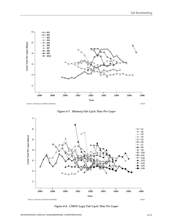

*Figure 4-7. Memory Fab Cycle Time Per Layer*



*Figure 4-8. CMOS Logic Fab Cycle Time Per Layer*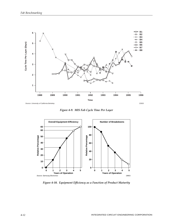

*Figure 4-9. MIS Fab Cycle Time Per Layer*



*Figure 4-10. Equipment Efficiency as a Function of Product Maturity*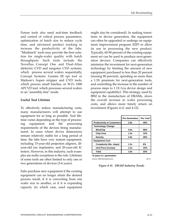Future tools also need real-time feedback and control of critical process parameters, optimization of batch size to reduce cycle time, and advanced product tracking to increase the productivity of the fabs. "Minibatch" tools may provide the best solution for single-wafer quality with batch throughputs. Such tools include the Novellus Concept One and Dual-Altus dielectric CVD and tungsten CVD systems, which process several wafers sequentially, Concept Systems' Gemini III epi tool or Mattson's Aspen stripper and CVD tools, which process small batches, or W-J's 1000 APCVD tool, which processes several wafers in an "assembly-line" mode.

#### **Useful Tool Lifetime**

To effectively reduce manufacturing costs, many manufacturers will attempt to use equipment for as long as possible. Tool lifetime varies depending on the type of processing equipment and the processing requirements of the devices being manufactured. In cases where device dimensions remain relatively stable for a long period of time, the fabs have very mature equipment, including 15-year-old projection aligners, 20 year-old ion implanters, and 20-year-old IC testers. However, in this industry, such examples are really exceptions to the rule. Lifetimes of some tools are often limited to only one or two generations of devices (3-6 years).

Fabs purchase new equipment if the existing equipment can no longer attain the desired process result, if it is converting from one wafer size to another, or if it is expanding capacity (in which case, used equipment

might also be considered). In making transitions in device generation, the equipment can often be upgraded or undergo an equipment improvement program (EIP) to allow its use in processing the new product. Typically, 60-90 percent of the existing equipment set can be used to produce next-generation devices. Companies can effectively minimize the investment for next-generation technology by limiting the amount of new equipment purchased to less than 20 percent (reusing 80 percent), spending no more than a 1.5X premium for next-generation tools, and controlling the increase in the number of process steps to 1.1X (via device design and equipment capability). This strategy, used by IBM in the manufacture of DRAMs, slows the overall increase in wafer processing costs, and allows more timely return on investment (Figures 4-11 and 4-12).

|                                  | <b>Per Generation</b> | Per Year* |
|----------------------------------|-----------------------|-----------|
| <b>Productivity to Customers</b> | 2.8x                  | 40%       |
| <b>Technology Change</b>         |                       |           |
| <b>Bits/Chip</b>                 | 4.0x                  | 58%       |
| <b>Chip Area</b>                 | 1.4x                  | 12%       |
| <b>Density</b>                   | 2.8x                  | 40%       |
| <b>Equipment Cost</b>            |                       |           |
| Complexity (No. steps)           | 1.2x                  | 6%        |
| <b>Unit Price Increase</b>       | 1.5x                  | 15%       |
| Total                            | 1.8x                  | 22%       |

**\*3 years is 1 generation**

Source: IBM Microelectronics 19771

*Figure 4-11. DRAM Industry Trends*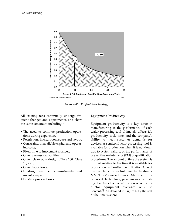

*Figure 4-12. Profitability Strategy*

All existing fabs continually undergo frequent changes and adjustments, and share the same constraint including $[1]$ :

- The need to continue production operations during expansion,
- Restrictions in cleanroom space and layout,
- Constraints in available capital and operating costs,
- Fixed time to implement changes,
- Given process capabilities,
- Given cleanroom design (Class 100, Class 10, etc.),
- Given labor force,
- Existing customer commitments and inventories, and
- Existing process flows.

#### **Equipment Productivity**

Equipment productivity is a key issue in manufacturing as the performance of each wafer processing tool ultimately affects fab productivity, cycle time, and the company's ability to meet customer demands for devices. A semiconductor processing tool is available for production when it is not down due to system failure, or the performance of preventive maintenance (PM) or qualification procedures. The amount of time the system is utilized relative to the time it is available for production, is the effective utilization. One of the results of Texas Instruments' landmark MMST (Microelectronics Manufacturing Science & Technology) program was the finding that the effective utilization of semiconductor equipment averages only 35 percent<sup>[2]</sup>. As detailed in Figure 4-13, the rest of the time is spent: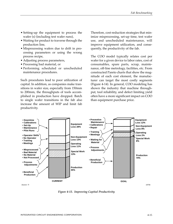- Setting-up the equipment to process the wafer (s) (including test wafer runs),
- Waiting for product to traverse through the production line,
- Misprocessing wafers due to drift in processing parameters or using the wrong process recipe,
- Adjusting process parameters,
- Processing bad material, or
- Performing scheduled or unscheduled maintenance procedures.

Such procedures lead to poor utilization of capital. In addition, as companies make transitions in wafer size, especially from 150mm to 200mm, the throughputs of tools accomplished in production have dropped. Batch to single wafer transitions in the fab also increase the amount of WIP and limit fab productivity.

Therefore, cost-reduction strategies that minimize misprocessing, set-up time, test wafer use, and unscheduled maintenance, will improve equipment utilization, and consequently, the productivity of the fab.

The COO model typically relates cost per wafer for a given device to labor rates, cost of consumables, spare parts, scrap, maintenance, off-line metrology, facilities, etc. From constructed Pareto charts that show the magnitude of each cost element, the manufacturer can target the most costly segments (Figure 4-14). In general, COO modeling has shown the industry that machine throughput, tool reliability, and defect limiting yield often have a more significant impact on COO than equipment purchase price.



*Figure 4-13. Improving Capital Productivity*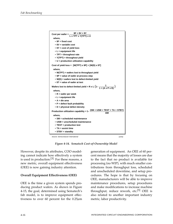

*Figure 4-14. Sematech Cost-of-Ownership Model*

However, despite its attributes, COO modeling cannot indicate how effectively a system is used in production.<sup>[3]</sup> For these reasons, a new metric, overall equipment effectiveness (OEE) is now gaining industry attention.

#### **Overall Equipment Effectiveness (OEE)**

OEE is the time a given system spends producing product wafers. As shown in Figure 4-15, the goal, determined using Sematech's fab model, is to improve equipment effectiveness to over 60 percent for the  $0.25 \mu m$ 

generation of equipment. An OEE of 60 percent means that the majority of losses are due to the fact that no product is available for processing (no WIP), with much smaller contributions from throughput loss, scheduled and unscheduled downtime, and setup procedures. The hope is that by focusing on OEE, manufacturers will be able to improve maintenance procedures, setup procedures and make modifications to increase machine throughput, reduce rework, etc.<sup>[5]</sup> OEE is also related to another important industry metric, labor productivity.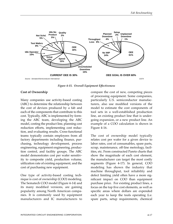

*Figure 4-15. Overall Equipment Effectiveness*

#### **Cost of Ownership**

Many companies use activity-based costing (ABC) to determine the relationship between the cost of devices produced by a fab and each of the components that contribute to this cost. Typically, ABC is implemented by forming the ABC team, developing the ABC model, costing the product line, planning cost reduction efforts, implementing cost reduction, and evaluating results. Cross-functional teams typically contain employees from all factory departments including finance, purchasing, technology development, process engineering, equipment engineering, production control, and facility groups. The ABC model demonstrates cost per wafer sensitivity to composite yield, production volume, utilization rate of existing equipment, and the cost of purchasing new equipment.

One type of activity-based costing technique is cost of ownership (COO) modeling. The Sematech COO model (Figure 4-14) and its many modified versions, are gaining popularity among North American companies. It is commonly used by equipment manufacturers and IC manufacturers to

compare the cost of new, competing pieces of processing equipment. Some companies, particularly U.S. semiconductor manufacturers, also use modified versions of the model to estimate the cost components of tool sets in a well-established production line, an existing product line that is undergoing expansion, or a new product line. An example of a COO calculation is shown in Figure 4-16.

The cost of ownership model typically relates cost per wafer for a given device to labor rates, cost of consumables, spare parts, scrap, maintenance, off-line metrology, facilities, etc. From constructed Pareto charts that show the magnitude of each cost element, the manufacturer can target the most costly segments (Figure 4-17). In general, COO modeling has shown the industry that machine throughput, tool reliability and defect limiting yield often have a more significant impact on COO than equipment purchase price. For existing product lines, a focus on the top five cost elements, as well as specific areas where dollars are expended each year to keep the tools operating (i.e. spare parts, setup requirements, chemical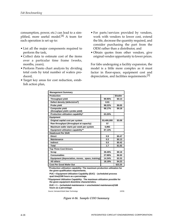consumption, power, etc.) can lead to a simplified, more useful model.[4] A team for each operation is set up to:

- List all the major components required to perform the task,
- Collect data to estimate cost of the items over a particular time frame (weeks, months, years),
- Perform Pareto chart analysis by dividing total costs by total number of wafers produced,
- Target key areas for cost reduction, establish action plan,
- For parts/services provided by vendors, work with vendors to lower cost, extend the life, decrease the quantity required, and consider purchasing the part from the OEM rather than a distributor, and
- Obtain quotes from other vendors, give original vendor opportunity to lower prices.

For fabs undergoing a facility expansion, the model is a little more complex as it must factor in floor-space, equipment cost and depreciation, and facilities requirements.<sup>[5]</sup>

| <b>Management Summary</b>                           |             |          |
|-----------------------------------------------------|-------------|----------|
| Production                                          |             | \$/wafer |
| <b>Throughput yield</b>                             | 99.95%      | \$0.13   |
| Defect density (defects/cm <sup>2</sup> )           | 0.01        |          |
| Probe yield                                         | 98.22%      | \$9.05   |
| Composite yield<br>(throughput yield x probe yield) | 98.17%      | \$9.18   |
| Production utilization capability*                  | 63.20%      |          |
| <b>Equipment</b>                                    |             |          |
| Original capital cost per system                    | \$3,400,000 | \$3.08   |
| Raw throughput (throughput at capacity)             | 57          |          |
| Maximum wafer starts per week per system            | 5,992       |          |
| Equipment utilization capability**                  | 87.13%      |          |
| <b>Headcount Per Shift</b>                          |             |          |
| <b>Direct</b>                                       | 0.9         | \$0.47   |
| <b>Maintenance</b>                                  | 0.3         | \$0.13   |
| Indirect                                            | 0.5         | \$0.42   |
| Total                                               | 1.7         | \$1.02   |
| <b>Top Three Cost Drivers</b>                       |             |          |
| Scrap                                               | 39.49%      | \$9.18   |
| <b>Consumables</b>                                  | 27.98%      | \$6.50   |
| Equipment (depreciation, moves, space, training)    | 14.34%      | \$3.33   |
| <b>All others</b>                                   | 18.19%      | \$4.23   |
| <b>Cost Per Good Wafer Out</b>                      |             | \$23.25  |

**Production utilization capability: The maximum production utilization for \* the given qualification requirements.**

**PUC = Equipment Utilization Capability (EUC) - (scheduled process qual time)/168 hours as a percentage.**

**Equipment Utilization Capability: The maximum utilization possible for \*\* the given equipment downtime characteristics.**

**EUC = 1 – (scheduled maintenance + unscheduled maintenance)/168 hours as a percentage**

Source: Sematech/Solid State Technology 19765

*Figure 4-16. Sample COO Summary*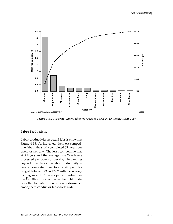

*Figure 4-17. A Pareto Chart Indicates Areas to Focus on to Reduce Total Cost*

#### **Labor Productivity**

Labor productivity in actual fabs is shown in Figure 4-18. As indicated, the most competitive fabs in the study completed 63 layers per operator per day. The least competitive was at 8 layers and the average was 29.6 layers processed per operator per day. Expanding beyond direct labor, the labor productivity in layers completed per total staff per day ranged between 3.3 and 37.7 with the average coming in at 17.6 layers per individual per day. [6] Other information in this table indicates the dramatic differences in performance among semiconductor fabs worldwide.